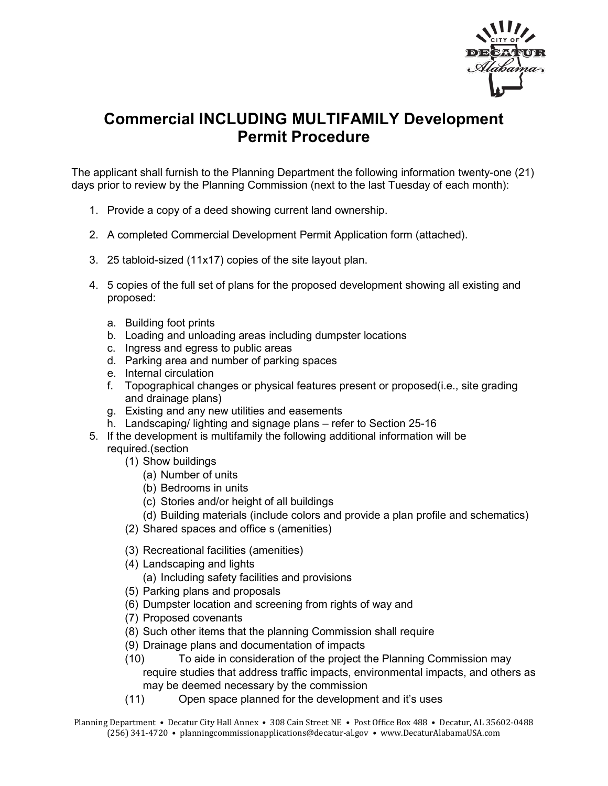

## **Commercial INCLUDING MULTIFAMILY Development Permit Procedure**

The applicant shall furnish to the Planning Department the following information twenty-one (21) days prior to review by the Planning Commission (next to the last Tuesday of each month):

- 1. Provide a copy of a deed showing current land ownership.
- 2. A completed Commercial Development Permit Application form (attached).
- 3. 25 tabloid-sized (11x17) copies of the site layout plan.
- 4. 5 copies of the full set of plans for the proposed development showing all existing and proposed:
	- a. Building foot prints
	- b. Loading and unloading areas including dumpster locations
	- c. Ingress and egress to public areas
	- d. Parking area and number of parking spaces
	- e. Internal circulation
	- f. Topographical changes or physical features present or proposed(i.e., site grading and drainage plans)
	- g. Existing and any new utilities and easements
	- h. Landscaping/ lighting and signage plans refer to Section 25-16
- 5. If the development is multifamily the following additional information will be required.(section
	- (1) Show buildings
		- (a) Number of units
		- (b) Bedrooms in units
		- (c) Stories and/or height of all buildings
		- (d) Building materials (include colors and provide a plan profile and schematics)
	- (2) Shared spaces and office s (amenities)
	- (3) Recreational facilities (amenities)
	- (4) Landscaping and lights
		- (a) Including safety facilities and provisions
	- (5) Parking plans and proposals
	- (6) Dumpster location and screening from rights of way and
	- (7) Proposed covenants
	- (8) Such other items that the planning Commission shall require
	- (9) Drainage plans and documentation of impacts
	- (10) To aide in consideration of the project the Planning Commission may require studies that address traffic impacts, environmental impacts, and others as may be deemed necessary by the commission
	- (11) Open space planned for the development and it's uses
- Planning Department Decatur City Hall Annex 308 Cain Street NE Post Office Box 488 Decatur, AL 35602-0488 (256) 341-4720 • planningcommissionapplications@decatur-al.gov • www.DecaturAlabamaUSA.com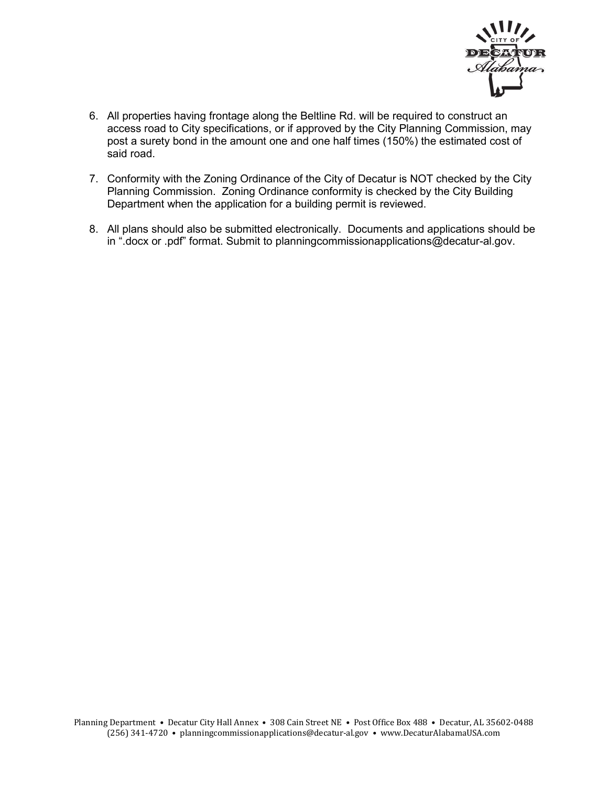

- 6. All properties having frontage along the Beltline Rd. will be required to construct an access road to City specifications, or if approved by the City Planning Commission, may post a surety bond in the amount one and one half times (150%) the estimated cost of said road.
- 7. Conformity with the Zoning Ordinance of the City of Decatur is NOT checked by the City Planning Commission. Zoning Ordinance conformity is checked by the City Building Department when the application for a building permit is reviewed.
- 8. All plans should also be submitted electronically. Documents and applications should be in ".docx or .pdf" format. Submit to planningcommissionapplications@decatur-al.gov.